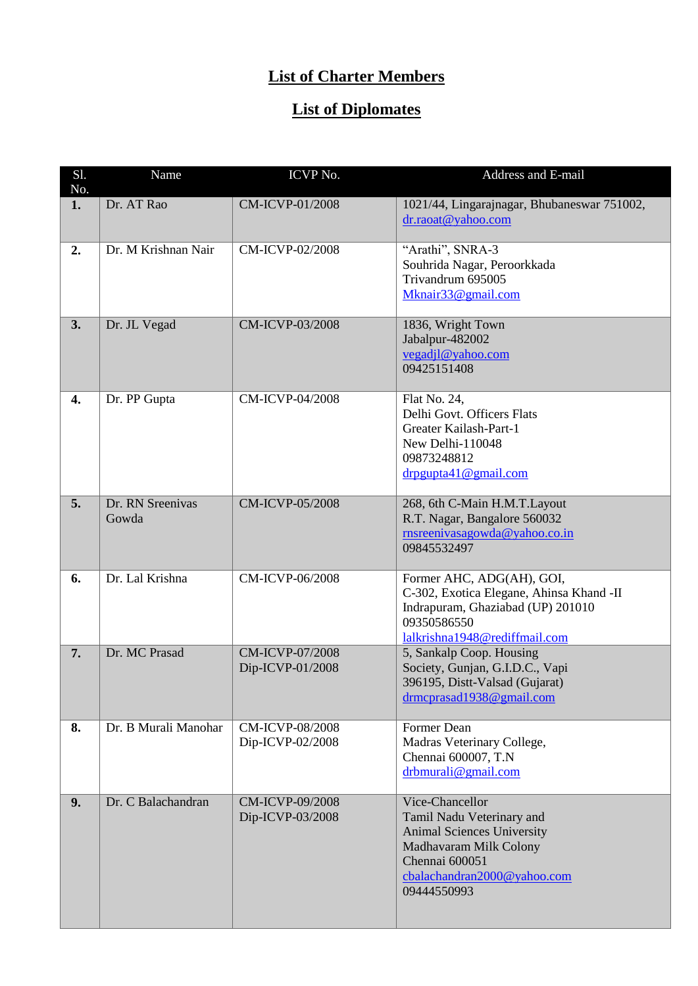## **List of Charter Members**

## **List of Diplomates**

| S1.<br>No. | Name                      | ICVP No.                                   | Address and E-mail                                                                                                                                                          |
|------------|---------------------------|--------------------------------------------|-----------------------------------------------------------------------------------------------------------------------------------------------------------------------------|
| 1.         | Dr. AT Rao                | <b>CM-ICVP-01/2008</b>                     | 1021/44, Lingarajnagar, Bhubaneswar 751002,<br>dr.raoat@yahoo.com                                                                                                           |
| 2.         | Dr. M Krishnan Nair       | <b>CM-ICVP-02/2008</b>                     | "Arathi", SNRA-3<br>Souhrida Nagar, Peroorkkada<br>Trivandrum 695005<br>Mknair33@gmail.com                                                                                  |
| 3.         | Dr. JL Vegad              | CM-ICVP-03/2008                            | 1836, Wright Town<br>Jabalpur-482002<br>vegadjl@yahoo.com<br>09425151408                                                                                                    |
| 4.         | Dr. PP Gupta              | CM-ICVP-04/2008                            | Flat No. 24,<br>Delhi Govt. Officers Flats<br>Greater Kailash-Part-1<br>New Delhi-110048<br>09873248812<br>drpgupta41@gmail.com                                             |
| 5.         | Dr. RN Sreenivas<br>Gowda | <b>CM-ICVP-05/2008</b>                     | 268, 6th C-Main H.M.T.Layout<br>R.T. Nagar, Bangalore 560032<br>rnsreenivasagowda@yahoo.co.in<br>09845532497                                                                |
| 6.         | Dr. Lal Krishna           | CM-ICVP-06/2008                            | Former AHC, ADG(AH), GOI,<br>C-302, Exotica Elegane, Ahinsa Khand -II<br>Indrapuram, Ghaziabad (UP) 201010<br>09350586550<br>lalkrishna1948@rediffmail.com                  |
| 7.         | Dr. MC Prasad             | <b>CM-ICVP-07/2008</b><br>Dip-ICVP-01/2008 | 5, Sankalp Coop. Housing<br>Society, Gunjan, G.I.D.C., Vapi<br>396195, Distt-Valsad (Gujarat)<br>drmcprasad1938@gmail.com                                                   |
| 8.         | Dr. B Murali Manohar      | <b>CM-ICVP-08/2008</b><br>Dip-ICVP-02/2008 | Former Dean<br>Madras Veterinary College,<br>Chennai 600007, T.N<br>drbmurali@gmail.com                                                                                     |
| 9.         | Dr. C Balachandran        | <b>CM-ICVP-09/2008</b><br>Dip-ICVP-03/2008 | Vice-Chancellor<br>Tamil Nadu Veterinary and<br><b>Animal Sciences University</b><br>Madhavaram Milk Colony<br>Chennai 600051<br>cbalachandran2000@yahoo.com<br>09444550993 |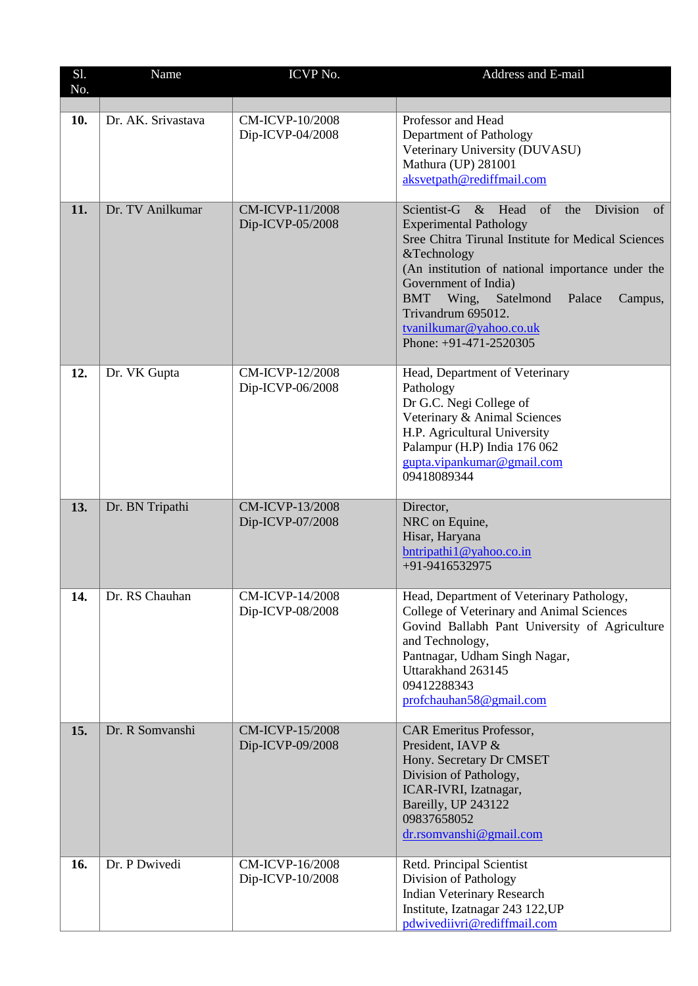| Sl.<br>No. | Name               | ICVP No.                                   | Address and E-mail                                                                                                                                                                                                                                                                                                                                                         |
|------------|--------------------|--------------------------------------------|----------------------------------------------------------------------------------------------------------------------------------------------------------------------------------------------------------------------------------------------------------------------------------------------------------------------------------------------------------------------------|
|            |                    |                                            |                                                                                                                                                                                                                                                                                                                                                                            |
| 10.        | Dr. AK. Srivastava | <b>CM-ICVP-10/2008</b><br>Dip-ICVP-04/2008 | Professor and Head<br>Department of Pathology<br>Veterinary University (DUVASU)<br>Mathura (UP) 281001<br>aksvetpath@rediffmail.com                                                                                                                                                                                                                                        |
| 11.        | Dr. TV Anilkumar   | <b>CM-ICVP-11/2008</b><br>Dip-ICVP-05/2008 | Scientist-G<br>of<br>Division<br>& Head<br>the<br>of<br><b>Experimental Pathology</b><br>Sree Chitra Tirunal Institute for Medical Sciences<br>&Technology<br>(An institution of national importance under the<br>Government of India)<br><b>BMT</b><br>Satelmond<br>Wing,<br>Palace<br>Campus,<br>Trivandrum 695012.<br>tvanilkumar@yahoo.co.uk<br>Phone: +91-471-2520305 |
| 12.        | Dr. VK Gupta       | <b>CM-ICVP-12/2008</b><br>Dip-ICVP-06/2008 | Head, Department of Veterinary<br>Pathology<br>Dr G.C. Negi College of<br>Veterinary & Animal Sciences<br>H.P. Agricultural University<br>Palampur (H.P) India 176 062<br>gupta.vipankumar@gmail.com<br>09418089344                                                                                                                                                        |
| 13.        | Dr. BN Tripathi    | CM-ICVP-13/2008<br>Dip-ICVP-07/2008        | Director,<br>NRC on Equine,<br>Hisar, Haryana<br>bntripathi1@yahoo.co.in<br>+91-9416532975                                                                                                                                                                                                                                                                                 |
| 14.        | Dr. RS Chauhan     | <b>CM-ICVP-14/2008</b><br>Dip-ICVP-08/2008 | Head, Department of Veterinary Pathology,<br>College of Veterinary and Animal Sciences<br>Govind Ballabh Pant University of Agriculture<br>and Technology,<br>Pantnagar, Udham Singh Nagar,<br>Uttarakhand 263145<br>09412288343<br>profchauhan58@gmail.com                                                                                                                |
| 15.        | Dr. R Somvanshi    | CM-ICVP-15/2008<br>Dip-ICVP-09/2008        | <b>CAR Emeritus Professor,</b><br>President, IAVP &<br>Hony. Secretary Dr CMSET<br>Division of Pathology,<br>ICAR-IVRI, Izatnagar,<br>Bareilly, UP 243122<br>09837658052<br>dr.rsomvanshi@gmail.com                                                                                                                                                                        |
| 16.        | Dr. P Dwivedi      | CM-ICVP-16/2008<br>Dip-ICVP-10/2008        | Retd. Principal Scientist<br>Division of Pathology<br><b>Indian Veterinary Research</b><br>Institute, Izatnagar 243 122, UP<br>pdwivediivri@rediffmail.com                                                                                                                                                                                                                 |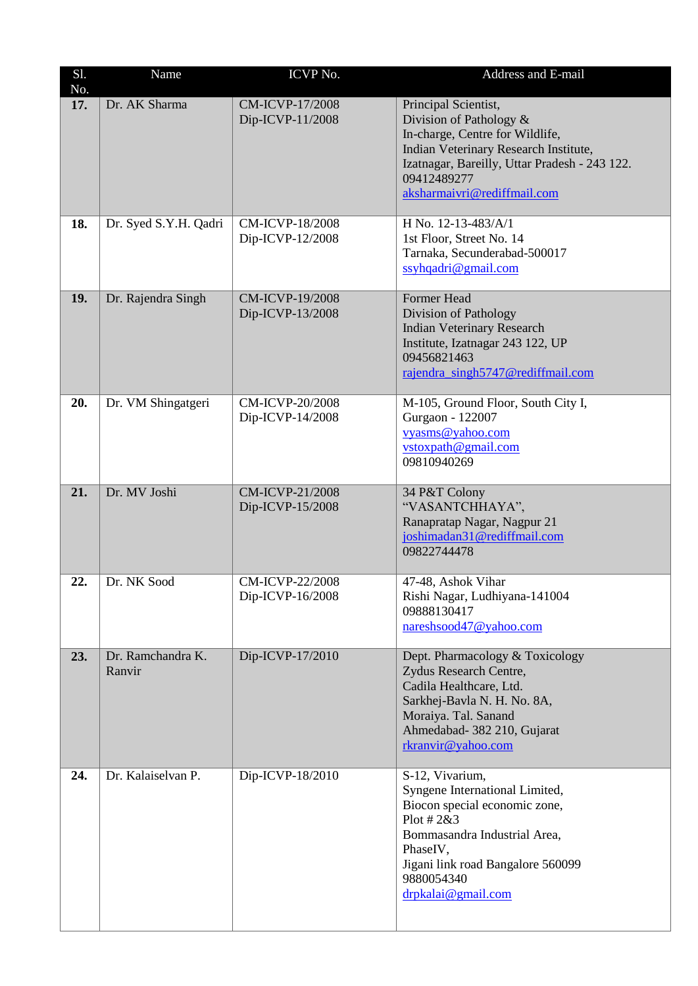| S1.<br>No. | Name                        | ICVP No.                                   | Address and E-mail                                                                                                                                                                                                         |
|------------|-----------------------------|--------------------------------------------|----------------------------------------------------------------------------------------------------------------------------------------------------------------------------------------------------------------------------|
| 17.        | Dr. AK Sharma               | <b>CM-ICVP-17/2008</b><br>Dip-ICVP-11/2008 | Principal Scientist,<br>Division of Pathology &<br>In-charge, Centre for Wildlife,<br>Indian Veterinary Research Institute,<br>Izatnagar, Bareilly, Uttar Pradesh - 243 122.<br>09412489277<br>aksharmaivri@rediffmail.com |
| 18.        | Dr. Syed S.Y.H. Qadri       | CM-ICVP-18/2008<br>Dip-ICVP-12/2008        | H No. 12-13-483/A/1<br>1st Floor, Street No. 14<br>Tarnaka, Secunderabad-500017<br>ssyhqadri@gmail.com                                                                                                                     |
| 19.        | Dr. Rajendra Singh          | CM-ICVP-19/2008<br>Dip-ICVP-13/2008        | Former Head<br>Division of Pathology<br><b>Indian Veterinary Research</b><br>Institute, Izatnagar 243 122, UP<br>09456821463<br>rajendra_singh5747@rediffmail.com                                                          |
| 20.        | Dr. VM Shingatgeri          | <b>CM-ICVP-20/2008</b><br>Dip-ICVP-14/2008 | M-105, Ground Floor, South City I,<br>Gurgaon - 122007<br>vyasms@yahoo.com<br>vstoxpath@gmail.com<br>09810940269                                                                                                           |
| 21.        | Dr. MV Joshi                | CM-ICVP-21/2008<br>Dip-ICVP-15/2008        | 34 P&T Colony<br>"VASANTCHHAYA",<br>Ranapratap Nagar, Nagpur 21<br>joshimadan31@rediffmail.com<br>09822744478                                                                                                              |
| 22.        | Dr. NK Sood                 | <b>CM-ICVP-22/2008</b><br>Dip-ICVP-16/2008 | 47-48, Ashok Vihar<br>Rishi Nagar, Ludhiyana-141004<br>09888130417<br>nareshsood47@yahoo.com                                                                                                                               |
| 23.        | Dr. Ramchandra K.<br>Ranvir | Dip-ICVP-17/2010                           | Dept. Pharmacology & Toxicology<br>Zydus Research Centre,<br>Cadila Healthcare, Ltd.<br>Sarkhej-Bavla N. H. No. 8A,<br>Moraiya. Tal. Sanand<br>Ahmedabad- 382 210, Gujarat<br>rkranvir@yahoo.com                           |
| 24.        | Dr. Kalaiselvan P.          | Dip-ICVP-18/2010                           | S-12, Vivarium,<br>Syngene International Limited,<br>Biocon special economic zone,<br>Plot # $2&3$<br>Bommasandra Industrial Area,<br>PhaseIV,<br>Jigani link road Bangalore 560099<br>9880054340<br>drpkalai@gmail.com    |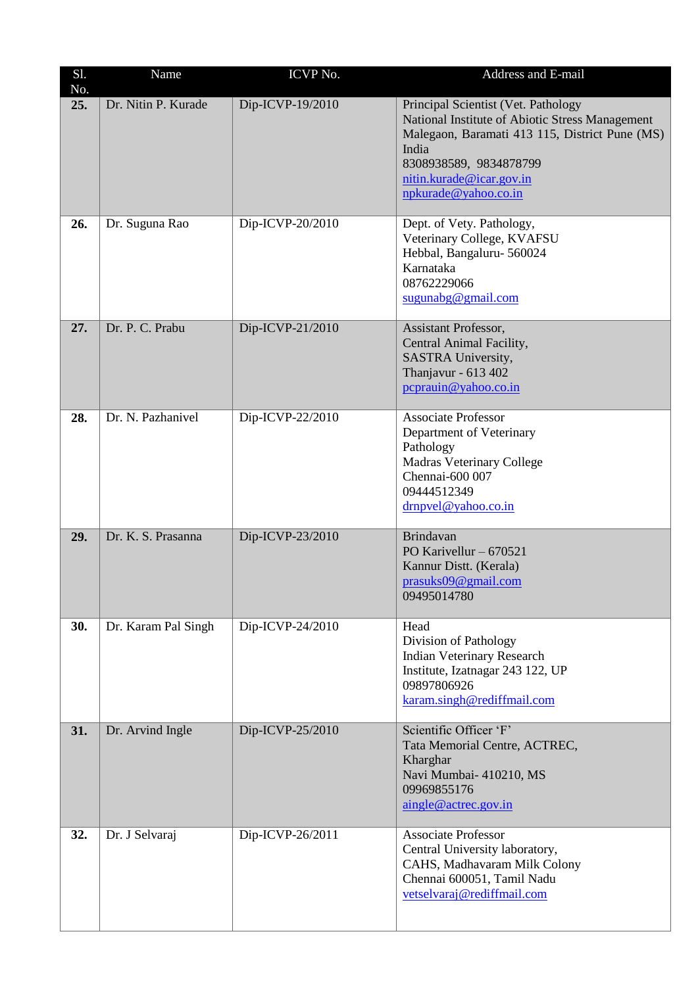| S1.<br>No. | Name                | ICVP No.         | Address and E-mail                                                                                                                                                                                                              |
|------------|---------------------|------------------|---------------------------------------------------------------------------------------------------------------------------------------------------------------------------------------------------------------------------------|
| 25.        | Dr. Nitin P. Kurade | Dip-ICVP-19/2010 | Principal Scientist (Vet. Pathology<br>National Institute of Abiotic Stress Management<br>Malegaon, Baramati 413 115, District Pune (MS)<br>India<br>8308938589, 9834878799<br>nitin.kurade@icar.gov.in<br>npkurade@yahoo.co.in |
| 26.        | Dr. Suguna Rao      | Dip-ICVP-20/2010 | Dept. of Vety. Pathology,<br>Veterinary College, KVAFSU<br>Hebbal, Bangaluru- 560024<br>Karnataka<br>08762229066<br>sugunabg@gmail.com                                                                                          |
| 27.        | Dr. P. C. Prabu     | Dip-ICVP-21/2010 | Assistant Professor,<br>Central Animal Facility,<br>SASTRA University,<br>Thanjavur - 613 402<br>pcprauin@yahoo.co.in                                                                                                           |
| 28.        | Dr. N. Pazhanivel   | Dip-ICVP-22/2010 | <b>Associate Professor</b><br>Department of Veterinary<br>Pathology<br><b>Madras Veterinary College</b><br>Chennai-600 007<br>09444512349<br>drnpvel@yahoo.co.in                                                                |
| 29.        | Dr. K. S. Prasanna  | Dip-ICVP-23/2010 | <b>Brindavan</b><br>PO Karivellur $-670521$<br>Kannur Distt. (Kerala)<br>prasuks09@gmail.com<br>09495014780                                                                                                                     |
| 30.        | Dr. Karam Pal Singh | Dip-ICVP-24/2010 | Head<br>Division of Pathology<br><b>Indian Veterinary Research</b><br>Institute, Izatnagar 243 122, UP<br>09897806926<br>karam.singh@rediffmail.com                                                                             |
| 31.        | Dr. Arvind Ingle    | Dip-ICVP-25/2010 | Scientific Officer 'F'<br>Tata Memorial Centre, ACTREC,<br>Kharghar<br>Navi Mumbai- 410210, MS<br>09969855176<br>aingle@actrec.gov.in                                                                                           |
| 32.        | Dr. J Selvaraj      | Dip-ICVP-26/2011 | <b>Associate Professor</b><br>Central University laboratory,<br>CAHS, Madhavaram Milk Colony<br>Chennai 600051, Tamil Nadu<br>vetselvaraj@rediffmail.com                                                                        |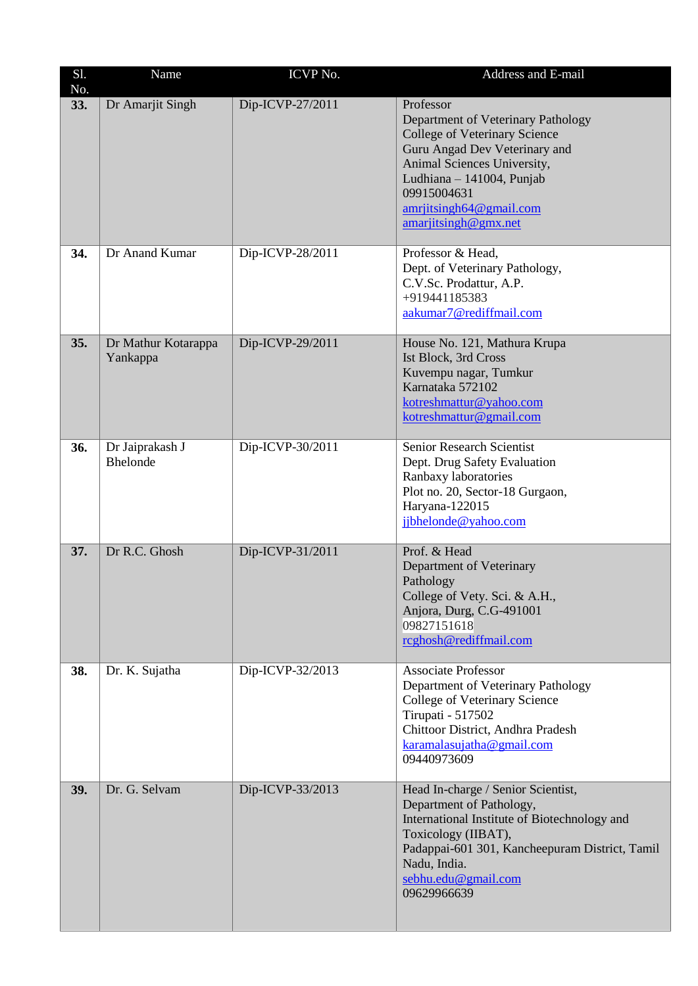| S1.<br>No. | Name                               | ICVP No.         | Address and E-mail                                                                                                                                                                                                                              |
|------------|------------------------------------|------------------|-------------------------------------------------------------------------------------------------------------------------------------------------------------------------------------------------------------------------------------------------|
| 33.        | Dr Amarjit Singh                   | Dip-ICVP-27/2011 | Professor<br>Department of Veterinary Pathology<br>College of Veterinary Science<br>Guru Angad Dev Veterinary and<br>Animal Sciences University,<br>Ludhiana - 141004, Punjab<br>09915004631<br>amriitsingh64@gmail.com<br>amariitsingh@gmx.net |
| 34.        | Dr Anand Kumar                     | Dip-ICVP-28/2011 | Professor & Head,<br>Dept. of Veterinary Pathology,<br>C.V.Sc. Prodattur, A.P.<br>+919441185383<br>aakumar7@rediffmail.com                                                                                                                      |
| 35.        | Dr Mathur Kotarappa<br>Yankappa    | Dip-ICVP-29/2011 | House No. 121, Mathura Krupa<br>Ist Block, 3rd Cross<br>Kuvempu nagar, Tumkur<br>Karnataka 572102<br>kotreshmattur@yahoo.com<br>kotreshmattur@gmail.com                                                                                         |
| 36.        | Dr Jaiprakash J<br><b>Bhelonde</b> | Dip-ICVP-30/2011 | Senior Research Scientist<br>Dept. Drug Safety Evaluation<br>Ranbaxy laboratories<br>Plot no. 20, Sector-18 Gurgaon,<br>Haryana-122015<br>jjbhelonde@yahoo.com                                                                                  |
| 37.        | Dr R.C. Ghosh                      | Dip-ICVP-31/2011 | Prof. & Head<br>Department of Veterinary<br>Pathology<br>College of Vety. Sci. & A.H.,<br>Anjora, Durg, C.G-491001<br>09827151618<br>rcghosh@rediffmail.com                                                                                     |
| 38.        | Dr. K. Sujatha                     | Dip-ICVP-32/2013 | <b>Associate Professor</b><br>Department of Veterinary Pathology<br>College of Veterinary Science<br>Tirupati - 517502<br>Chittoor District, Andhra Pradesh<br>karamalasujatha@gmail.com<br>09440973609                                         |
| 39.        | Dr. G. Selvam                      | Dip-ICVP-33/2013 | Head In-charge / Senior Scientist,<br>Department of Pathology,<br>International Institute of Biotechnology and<br>Toxicology (IIBAT),<br>Padappai-601 301, Kancheepuram District, Tamil<br>Nadu, India.<br>sebhu.edu@gmail.com<br>09629966639   |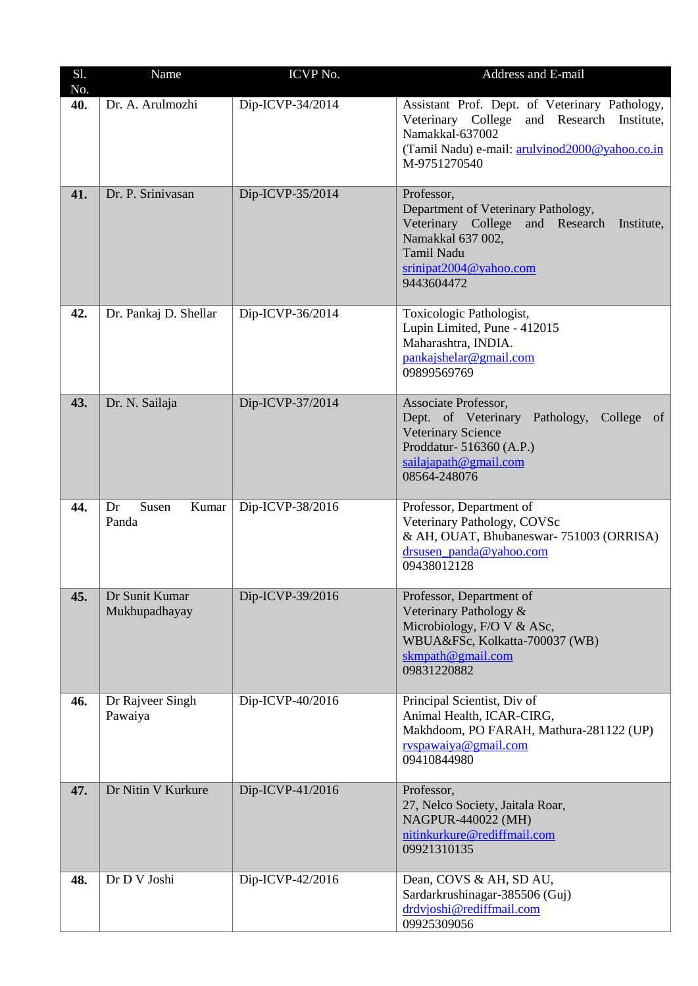| S1.<br>No. | Name                            | ICVP No.         | Address and E-mail                                                                                                                                                                      |
|------------|---------------------------------|------------------|-----------------------------------------------------------------------------------------------------------------------------------------------------------------------------------------|
| 40.        | Dr. A. Arulmozhi                | Dip-ICVP-34/2014 | Assistant Prof. Dept. of Veterinary Pathology,<br>Veterinary College and Research Institute,<br>Namakkal-637002<br>(Tamil Nadu) e-mail: arulyinod2000@yahoo.co.in<br>M-9751270540       |
| 41.        | Dr. P. Srinivasan               | Dip-ICVP-35/2014 | Professor,<br>Department of Veterinary Pathology,<br>Veterinary College<br>and Research<br>Institute,<br>Namakkal 637 002,<br>Tamil Nadu<br>$s$ rinipat $2004@$ yahoo.com<br>9443604472 |
| 42.        | Dr. Pankaj D. Shellar           | Dip-ICVP-36/2014 | Toxicologic Pathologist,<br>Lupin Limited, Pune - 412015<br>Maharashtra, INDIA.<br>pankajshelar@gmail.com<br>09899569769                                                                |
| 43.        | Dr. N. Sailaja                  | Dip-ICVP-37/2014 | Associate Professor,<br>Dept. of Veterinary Pathology,<br>College of<br><b>Veterinary Science</b><br>Proddatur- 516360 (A.P.)<br>sailajapath@gmail.com<br>08564-248076                  |
| 44.        | Susen<br>Kumar<br>Dr<br>Panda   | Dip-ICVP-38/2016 | Professor, Department of<br>Veterinary Pathology, COVSc<br>& AH, OUAT, Bhubaneswar-751003 (ORRISA)<br>drsusen panda@yahoo.com<br>09438012128                                            |
| 45.        | Dr Sunit Kumar<br>Mukhupadhayay | Dip-ICVP-39/2016 | Professor, Department of<br>Veterinary Pathology &<br>Microbiology, F/O V & ASc,<br>WBUA&FSc, Kolkatta-700037 (WB)<br>skmpath@gmail.com<br>09831220882                                  |
| 46.        | Dr Rajveer Singh<br>Pawaiya     | Dip-ICVP-40/2016 | Principal Scientist, Div of<br>Animal Health, ICAR-CIRG,<br>Makhdoom, PO FARAH, Mathura-281122 (UP)<br>rvspawaiya@gmail.com<br>09410844980                                              |
| 47.        | Dr Nitin V Kurkure              | Dip-ICVP-41/2016 | Professor,<br>27, Nelco Society, Jaitala Roar,<br>NAGPUR-440022 (MH)<br>nitinkurkure@rediffmail.com<br>09921310135                                                                      |
| 48.        | Dr D V Joshi                    | Dip-ICVP-42/2016 | Dean, COVS & AH, SD AU,<br>Sardarkrushinagar-385506 (Guj)<br>drdvjoshi@rediffmail.com<br>09925309056                                                                                    |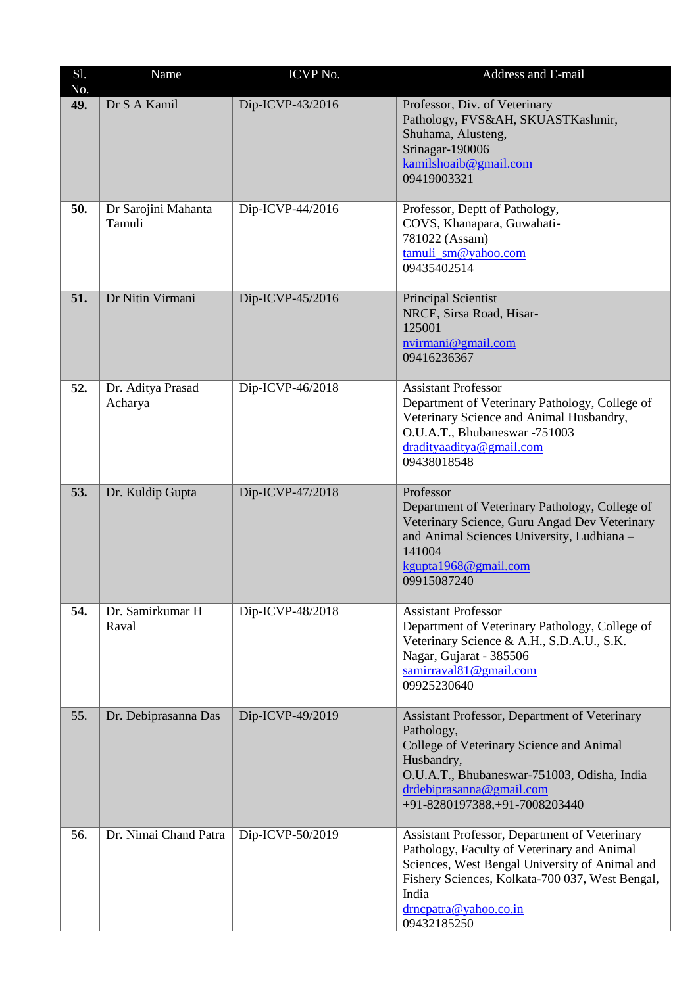| S1.<br>No. | Name                          | ICVP No.         | Address and E-mail                                                                                                                                                                                                                                 |
|------------|-------------------------------|------------------|----------------------------------------------------------------------------------------------------------------------------------------------------------------------------------------------------------------------------------------------------|
| 49.        | Dr S A Kamil                  | Dip-ICVP-43/2016 | Professor, Div. of Veterinary<br>Pathology, FVS&AH, SKUASTKashmir,<br>Shuhama, Alusteng,<br>Srinagar-190006<br>kamilshoaib@gmail.com<br>09419003321                                                                                                |
| 50.        | Dr Sarojini Mahanta<br>Tamuli | Dip-ICVP-44/2016 | Professor, Deptt of Pathology,<br>COVS, Khanapara, Guwahati-<br>781022 (Assam)<br>tamuli_sm@yahoo.com<br>09435402514                                                                                                                               |
| 51.        | Dr Nitin Virmani              | Dip-ICVP-45/2016 | <b>Principal Scientist</b><br>NRCE, Sirsa Road, Hisar-<br>125001<br>nvirmani@gmail.com<br>09416236367                                                                                                                                              |
| 52.        | Dr. Aditya Prasad<br>Acharya  | Dip-ICVP-46/2018 | <b>Assistant Professor</b><br>Department of Veterinary Pathology, College of<br>Veterinary Science and Animal Husbandry,<br>O.U.A.T., Bhubaneswar -751003<br>dradityaaditya@gmail.com<br>09438018548                                               |
| 53.        | Dr. Kuldip Gupta              | Dip-ICVP-47/2018 | Professor<br>Department of Veterinary Pathology, College of<br>Veterinary Science, Guru Angad Dev Veterinary<br>and Animal Sciences University, Ludhiana -<br>141004<br>kgupta1968@gmail.com<br>09915087240                                        |
| 54.        | Dr. Samirkumar H<br>Raval     | Dip-ICVP-48/2018 | <b>Assistant Professor</b><br>Department of Veterinary Pathology, College of<br>Veterinary Science & A.H., S.D.A.U., S.K.<br>Nagar, Gujarat - 385506<br>samirraval81@gmail.com<br>09925230640                                                      |
| 55.        | Dr. Debiprasanna Das          | Dip-ICVP-49/2019 | Assistant Professor, Department of Veterinary<br>Pathology,<br>College of Veterinary Science and Animal<br>Husbandry,<br>O.U.A.T., Bhubaneswar-751003, Odisha, India<br>drdebiprasanna@gmail.com<br>+91-8280197388, +91-7008203440                 |
| 56.        | Dr. Nimai Chand Patra         | Dip-ICVP-50/2019 | Assistant Professor, Department of Veterinary<br>Pathology, Faculty of Veterinary and Animal<br>Sciences, West Bengal University of Animal and<br>Fishery Sciences, Kolkata-700 037, West Bengal,<br>India<br>drncpatra@yahoo.co.in<br>09432185250 |